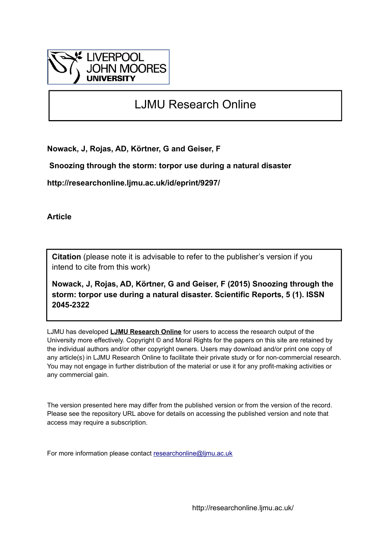

## LJMU Research Online

**Nowack, J, Rojas, AD, Körtner, G and Geiser, F**

 **Snoozing through the storm: torpor use during a natural disaster**

**http://researchonline.ljmu.ac.uk/id/eprint/9297/**

**Article**

**Citation** (please note it is advisable to refer to the publisher's version if you intend to cite from this work)

**Nowack, J, Rojas, AD, Körtner, G and Geiser, F (2015) Snoozing through the storm: torpor use during a natural disaster. Scientific Reports, 5 (1). ISSN 2045-2322** 

LJMU has developed **[LJMU Research Online](http://researchonline.ljmu.ac.uk/)** for users to access the research output of the University more effectively. Copyright © and Moral Rights for the papers on this site are retained by the individual authors and/or other copyright owners. Users may download and/or print one copy of any article(s) in LJMU Research Online to facilitate their private study or for non-commercial research. You may not engage in further distribution of the material or use it for any profit-making activities or any commercial gain.

The version presented here may differ from the published version or from the version of the record. Please see the repository URL above for details on accessing the published version and note that access may require a subscription.

For more information please contact [researchonline@ljmu.ac.uk](mailto:researchonline@ljmu.ac.uk)

http://researchonline.ljmu.ac.uk/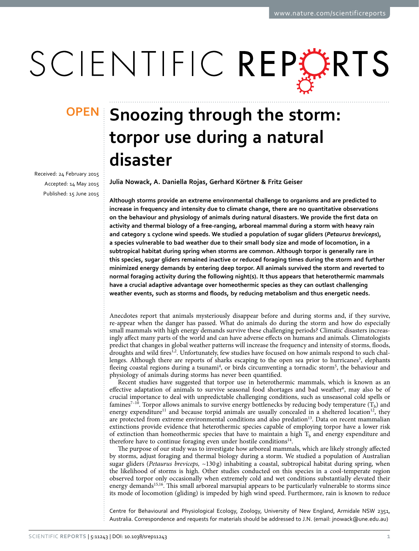# SCIENTIFIC REPERTS

received: 24 February 2015 accepted: 14 May 2015 Published: 15 June 2015

## **Snoozing through the storm: OPENtorpor use during a natural disaster**

**Julia Nowack, A. Daniella Rojas, Gerhard Körtner & Fritz Geiser**

**Although storms provide an extreme environmental challenge to organisms and are predicted to increase in frequency and intensity due to climate change, there are no quantitative observations on the behaviour and physiology of animals during natural disasters. We provide the first data on activity and thermal biology of a free-ranging, arboreal mammal during a storm with heavy rain and category 1 cyclone wind speeds. We studied a population of sugar gliders (***Petaurus breviceps***), a species vulnerable to bad weather due to their small body size and mode of locomotion, in a subtropical habitat during spring when storms are common. Although torpor is generally rare in this species, sugar gliders remained inactive or reduced foraging times during the storm and further minimized energy demands by entering deep torpor. All animals survived the storm and reverted to normal foraging activity during the following night(s). It thus appears that heterothermic mammals have a crucial adaptive advantage over homeothermic species as they can outlast challenging weather events, such as storms and floods, by reducing metabolism and thus energetic needs.**

Anecdotes report that animals mysteriously disappear before and during storms and, if they survive, re-appear when the danger has passed. What do animals do during the storm and how do especially small mammals with high energy demands survive these challenging periods? Climatic disasters increasingly affect many parts of the world and can have adverse effects on humans and animals. Climatologists predict that changes in global weather patterns will increase the frequency and intensity of storms, floods, droughts and wild fires<sup>[1,](#page-5-0)[2](#page-6-0)</sup>. Unfortunately, few studies have focused on how animals respond to such chal-lenges. Although there are reports of sharks escaping to the open sea prior to hurricanes<sup>[3](#page-6-1)</sup>, elephants fleeing coastal regions during a tsunami<sup>4</sup>, or birds circumventing a tornadic storm<sup>[5](#page-6-3)</sup>, the behaviour and physiology of animals during storms has never been quantified.

Recent studies have suggested that torpor use in heterothermic mammals, which is known as an effective adaptation of animals to survive seasonal food shortages and bad weather<sup>6</sup>, may also be of crucial importance to deal with unpredictable challenging conditions, such as unseasonal cold spells or famines<sup>7–10</sup>. Torpor allows animals to survive energy bottlenecks by reducing body temperature  $(T_b)$  and energy expenditure<sup>11</sup> and because torpid animals are usually concealed in a sheltered location<sup>12</sup>, they are protected from extreme environmental conditions and also predation<sup>13</sup>. Data on recent mammalian extinctions provide evidence that heterothermic species capable of employing torpor have a lower risk of extinction than homeothermic species that have to maintain a high  $T<sub>b</sub>$  and energy expenditure and therefore have to continue foraging even under hostile conditions<sup>[14](#page-6-9)</sup>.

The purpose of our study was to investigate how arboreal mammals, which are likely strongly affected by storms, adjust foraging and thermal biology during a storm. We studied a population of Australian sugar gliders (*Petaurus breviceps,* ~130 g) inhabiting a coastal, subtropical habitat during spring, when the likelihood of storms is high. Other studies conducted on this species in a cool-temperate region observed torpor only occasionally when extremely cold and wet conditions substantially elevated their energy demands<sup>[15,](#page-6-10)16</sup>. This small arboreal marsupial appears to be particularly vulnerable to storms since its mode of locomotion (gliding) is impeded by high wind speed. Furthermore, rain is known to reduce

Centre for Behavioural and Physiological Ecology, Zoology, University of New England, Armidale NSW 2351, Australia. Correspondence and requests for materials should be addressed to J.N. (email: [jnowack@une.edu.au\)](mailto:jnowack@une.edu.au))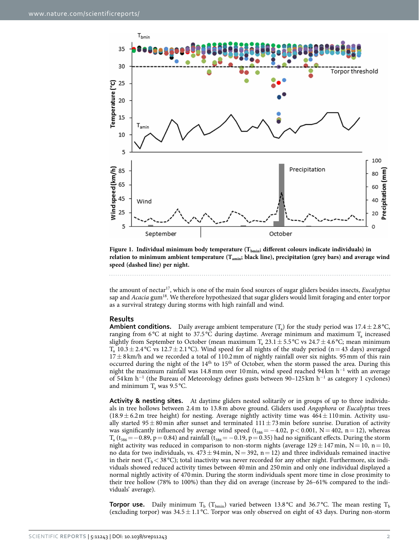

<span id="page-2-0"></span>Figure 1. Individual minimum body temperature (T<sub>bmin</sub>; different colours indicate individuals) in relation to minimum ambient temperature (T<sub>amin</sub>; black line), precipitation (grey bars) and average wind **speed (dashed line) per night.**

the amount of nectar[17,](#page-6-12) which is one of the main food sources of sugar gliders besides insects, *Eucalyptus* sap and *Acacia* gu[m18](#page-6-13). We therefore hypothesized that sugar gliders would limit foraging and enter torpor as a survival strategy during storms with high rainfall and wind.

### **Results**

**Ambient conditions.** Daily average ambient temperature ( $T_a$ ) for the study period was 17.4 $\pm$ 2.8 °C, ranging from 6 $\degree$ C at night to 37.5 $\degree$ C during daytime. Average minimum and maximum T<sub>a</sub> increased slightly from September to October (mean maximum  $T_a$  23.1 ± 5.5 °C vs 24.7 ± 4.6 °C; mean minimum  $T_a$  10.3 ± 2.4 °C vs 12.7 ± 2.1 °C). Wind speed for all nights of the study period (n = 43 days) averaged  $17 \pm 8$  km/h and we recorded a total of 110.2 mm of nightly rainfall over six nights. 95 mm of this rain occurred during the night of the 14th to 15th of October, when the storm passed the area. During this night the maximum rainfall was 14.8 mm over 10 min, wind speed reached 94 km h<sup>-1</sup> with an average of 54 km h<sup>-1</sup> (the Bureau of Meteorology defines gusts between 90-125 km h<sup>-1</sup> as category 1 cyclones) and minimum  $T_a$  was 9.5 °C.

**Activity & nesting sites.** At daytime gliders nested solitarily or in groups of up to three individuals in tree hollows between 2.4m to 13.8m above ground. Gliders used *Angophora* or *Eucalyptus* trees (18.9 $\pm$  6.2m tree height) for nesting. Average nightly activity time was  $464\pm110$  min. Activity usually started  $95 \pm 80$  min after sunset and terminated  $111 \pm 73$  min before sunrise. Duration of activity was significantly influenced by average wind speed ( $t_{386} = -4.02$ , p < 0.001, N = 402, n = 12), whereas  $T_a$  (t<sub>386</sub> = −0.89, p = 0.84) and rainfall (t<sub>386</sub> = −0.19, p = 0.35) had no significant effects. During the storm night activity was reduced in comparison to non-storm nights (average  $129 \pm 147$  min, N = 10, n = 10, no data for two individuals, vs.  $473 \pm 94$  min, N = 392, n = 12) and three individuals remained inactive in their nest  $(T_b < 38 \degree C)$ ; total inactivity was never recorded for any other night. Furthermore, six individuals showed reduced activity times between 40min and 250min and only one individual displayed a normal nightly activity of 470min. During the storm individuals spent more time in close proximity to their tree hollow (78% to 100%) than they did on average (increase by 26–61% compared to the individuals' average).

**Torpor use.** Daily minimum T<sub>b</sub> (T<sub>bmin</sub>) varied between 13.8 °C and 36.7 °C. The mean resting T<sub>b</sub> (excluding torpor) was  $34.5 \pm 1.1$  °C. Torpor was only observed on eight of 43 days. During non-storm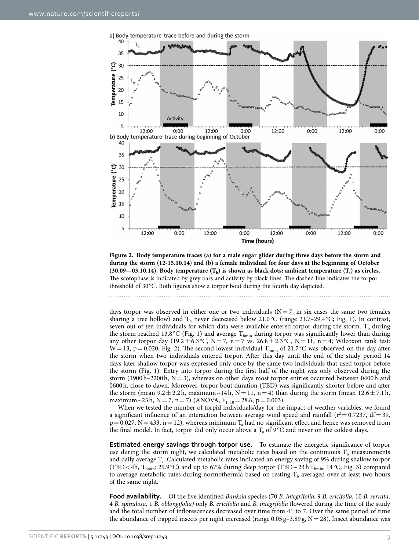

<span id="page-3-0"></span>**Figure 2. Body temperature traces (a) for a male sugar glider during three days before the storm and during the storm (12-15.10.14) and (b) a female individual for four days at the beginning of October**  (30.09—03.10.14). Body temperature  $(T_h)$  is shown as black dots; ambient temperature  $(T_a)$  as circles. The scotophase is indicated by grey bars and activity by black lines. The dashed line indicates the torpor threshold of 30 °C. Both figures show a torpor bout during the fourth day depicted.

days torpor was observed in either one or two individuals  $(N= 7)$ , in six cases the same two females sharing a tree hollow) and  $T<sub>b</sub>$  never decreased below 21.0 °C (range 21.7–29.4 °C; Fig. 1). In contrast, seven out of ten individuals for which data were available entered torpor during the storm.  $T_b$  during the storm reached 13.8 °C [\(Fig. 1](#page-2-0)) and average  $T_{bm}$  during torpor was significantly lower than during any other torpor day (19.2± 6.3 °C, N = 7, n = 7 vs.  $26.8 \pm 2.3$  °C, N = 11, n = 4; Wilcoxon rank test:  $W = 13$ , p = 0.020; [Fig. 2\)](#page-3-0). The second lowest individual T<sub>bmin</sub> of 21.7 °C was observed on the day after the storm when two individuals entered torpor. After this day until the end of the study period 14 days later shallow torpor was expressed only once by the same two individuals that used torpor before the storm ([Fig. 1](#page-2-0)). Entry into torpor during the first half of the night was only observed during the storm (1900h–2200h,  $N=3$ ), whereas on other days most torpor entries occurred between 0400h and 0600h, close to dawn. Moreover, torpor bout duration (TBD) was significantly shorter before and after the storm (mean  $9.2 \pm 2.2$ h, maximum~14h, N= 11, n= 4) than during the storm (mean  $12.6 \pm 7.1$ h, maximum~23h, N = 7, n = 7) (ANOVA,  $F_{1, 10} = 28.6$ , p = 0.003).

When we tested the number of torpid individuals/day for the impact of weather variables, we found a significant influence of an interaction between average wind speed and rainfall ( $r^2$  = 0.7237, df = 39,  $p = 0.027$ , N = 433, n = 12), whereas minimum  $T_a$  had no significant effect and hence was removed from the final model. In fact, torpor did only occur above a  $T_a$  of 9°C and never on the coldest days.

**Estimated energy savings through torpor use.** To estimate the energetic significance of torpor use during the storm night, we calculated metabolic rates based on the continuous  $T<sub>b</sub>$  measurements and daily average Ta. Calculated metabolic rates indicated an energy saving of 9% during shallow torpor (TBD <4h, T<sub>bmin</sub>: 29.9 °C) and up to 67% during deep torpor (TBD ~23hT<sub>bmin:</sub> 14 °C; [Fig. 3\)](#page-4-0) compared to average metabolic rates during normothermia based on resting  $T<sub>b</sub>$  averaged over at least two hours of the same night.

**Food availability.** Of the five identified *Banksia* species (70 *B. integrifolia,* 9 *B. ericifolia,* 10 *B. serrata,* 4 *B. spinulosa,* 1 *B. oblongifolia)* only *B. ericifolia* and *B. integrifolia* flowered during the time of the study and the total number of inflorescences decreased over time from 41 to 7. Over the same period of time the abundance of trapped insects per night increased (range  $0.05 g - 3.89 g$ , N = 28). Insect abundance was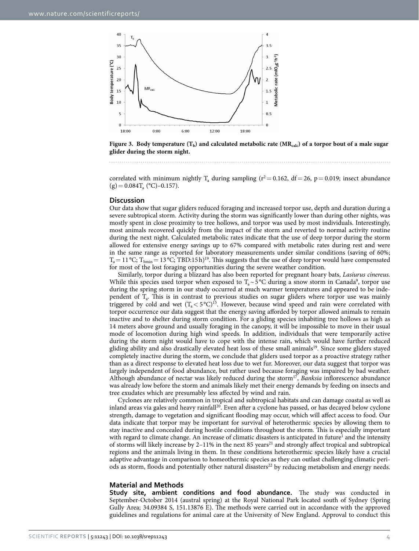

<span id="page-4-0"></span>**Figure 3.** Body temperature  $(T_b)$  and calculated metabolic rate  $(MR_{calc})$  of a torpor bout of a male sugar **glider during the storm night.** 

correlated with minimum nightly T<sub>a</sub> during sampling ( $r^2$  = 0.162, df = 26, p = 0.019; insect abundance  $(g) = 0.084T_a$  (°C)–0.157).

#### **Discussion**

Our data show that sugar gliders reduced foraging and increased torpor use, depth and duration during a severe subtropical storm. Activity during the storm was significantly lower than during other nights, was mostly spent in close proximity to tree hollows, and torpor was used by most individuals. Interestingly, most animals recovered quickly from the impact of the storm and reverted to normal activity routine during the next night. Calculated metabolic rates indicate that the use of deep torpor during the storm allowed for extensive energy savings up to 67% compared with metabolic rates during rest and were in the same range as reported for laboratory measurements under similar conditions (saving of 60%;  $T_a = 11 \degree C$ ;  $T_{bmin} = 13 \degree C$ ; TBD:15h)<sup>19</sup>. This suggests that the use of deep torpor would have compensated for most of the lost foraging opportunities during the severe weather condition.

Similarly, torpor during a blizzard has also been reported for pregnant hoary bats, *Lasiurus cinereus.* While this species used torpor when exposed to  $T_a \sim 5^{\circ}C$  during a snow storm in Canada<sup>[9](#page-6-15)</sup>, torpor use during the spring storm in our study occurred at much warmer temperatures and appeared to be independent of T<sub>a</sub>. This is in contrast to previous studies on sugar gliders where torpor use was mainly triggered by cold and wet  $(T_a < 5^{\circ}C)^{15}$ . However, because wind speed and rain were correlated with torpor occurrence our data suggest that the energy saving afforded by torpor allowed animals to remain inactive and to shelter during storm condition. For a gliding species inhabiting tree hollows as high as 14 meters above ground and usually foraging in the canopy, it will be impossible to move in their usual mode of locomotion during high wind speeds. In addition, individuals that were temporarily active during the storm night would have to cope with the intense rain, which would have further reduced gliding ability and also drastically elevated heat loss of these small animals<sup>19</sup>. Since some gliders stayed completely inactive during the storm, we conclude that gliders used torpor as a proactive strategy rather than as a direct response to elevated heat loss due to wet fur. Moreover, our data suggest that torpor was largely independent of food abundance, but rather used because foraging was impaired by bad weather. Although abundance of nectar was likely reduced during the storm<sup>17</sup>, *Banksia* inflorescence abundance was already low before the storm and animals likely met their energy demands by feeding on insects and tree exudates which are presumably less affected by wind and rain.

Cyclones are relatively common in tropical and subtropical habitats and can damage coastal as well as inland areas via gales and heavy rainfall<sup>[20](#page-6-16)</sup>. Even after a cyclone has passed, or has decayed below cyclone strength, damage to vegetation and significant flooding may occur, which will affect access to food. Our data indicate that torpor may be important for survival of heterothermic species by allowing them to stay inactive and concealed during hostile conditions throughout the storm. This is especially important with regard to climate change. An increase of climatic disasters is anticipated in future<sup>1</sup> and the intensity of storms will likely increase by 2–11% in the next 85 years<sup>21</sup> and strongly affect tropical and subtropical regions and the animals living in them. In these conditions heterothermic species likely have a crucial adaptive advantage in comparison to homeothermic species as they can outlast challenging climatic periods as storm, floods and potentially other natural disasters<sup>22</sup> by reducing metabolism and energy needs.

#### **Material and Methods**

**Study site, ambient conditions and food abundance.** The study was conducted in September-October 2014 (austral spring) at the Royal National Park located south of Sydney (Spring Gully Area; 34.09384 S, 151.13876 E). The methods were carried out in accordance with the approved guidelines and regulations for animal care at the University of New England. Approval to conduct this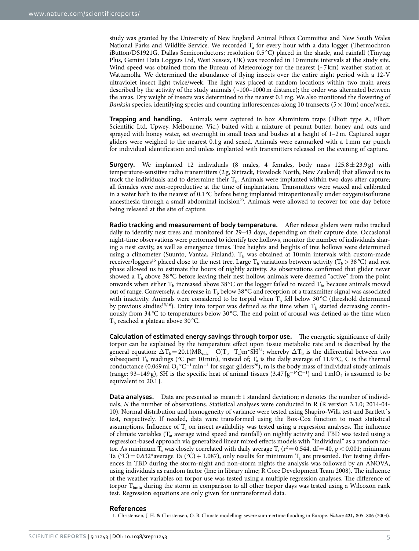study was granted by the University of New England Animal Ethics Committee and New South Wales National Parks and Wildlife Service. We recorded  $T_a$  for every hour with a data logger (Thermochron iButton/DS1921G, Dallas Semiconductors; resolution 0.5 °C) placed in the shade, and rainfall (Tinytag Plus, Gemini Data Loggers Ltd, West Sussex, UK) was recorded in 10minute intervals at the study site. Wind speed was obtained from the Bureau of Meteorology for the nearest  $({\sim}7 \text{ km})$  weather station at Wattamolla. We determined the abundance of flying insects over the entire night period with a 12-V ultraviolet insect light twice/week. The light was placed at random locations within two main areas described by the activity of the study animals  $\left($  ~100–1000 m distance); the order was alternated between the areas. Dry weight of insects was determined to the nearest 0.1mg. We also monitored the flowering of *Banksia* species, identifying species and counting inflorescences along 10 transects (5 × 10 m) once/week.

**Trapping and handling.** Animals were captured in box Aluminium traps (Elliott type A, Elliott Scientific Ltd, Upwey, Melbourne, Vic.) baited with a mixture of peanut butter, honey and oats and sprayed with honey water, set overnight in small trees and bushes at a height of 1–2m. Captured sugar gliders were weighed to the nearest 0.1 g and sexed. Animals were earmarked with a 1mm ear punch for individual identification and unless implanted with transmitters released on the evening of capture.

**Surgery.** We implanted 12 individuals (8 males, 4 females, body mass  $125.8 \pm 23.9$  g) with temperature-sensitive radio transmitters (2 g, Sirtrack, Havelock North, New Zealand) that allowed us to track the individuals and to determine their  $T<sub>b</sub>$ . Animals were implanted within two days after capture; all females were non-reproductive at the time of implantation. Transmitters were waxed and calibrated in a water bath to the nearest of 0.1 °C before being implanted intraperitoneally under oxygen/isoflurane anaesthesia through a small abdominal incision<sup>23</sup>. Animals were allowed to recover for one day before being released at the site of capture.

**Radio tracking and measurement of body temperature.** After release gliders were radio tracked daily to identify nest trees and monitored for 29–43 days, depending on their capture date. Occasional night-time observations were performed to identify tree hollows, monitor the number of individuals sharing a nest cavity, as well as emergence times. Tree heights and heights of tree hollows were determined using a clinometer (Suunto, Vantaa, Finland).  $T<sub>b</sub>$  was obtained at 10 min intervals with custom-made receiver/loggers<sup>15</sup> placed close to the nest tree. Large  $T_b$  variations between activity ( $T_b > 38 \degree C$ ) and rest phase allowed us to estimate the hours of nightly activity. As observations confirmed that glider never showed a  $T<sub>b</sub>$  above 38 °C before leaving their nest hollow, animals were deemed "active" from the point onwards when either  $T_b$  increased above 38 °C or the logger failed to record  $T_b$ , because animals moved out of range. Conversely, a decrease in  $T<sub>b</sub>$  below 38 °C and reception of a transmitter signal was associated with inactivity. Animals were considered to be torpid when  $T<sub>b</sub>$  fell below 30 °C (threshold determined by previous studies<sup>[15](#page-6-10)[,16](#page-6-11)</sup>). Entry into torpor was defined as the time when  $T<sub>b</sub>$  started decreasing continuously from 34 °C to temperatures below 30 °C. The end point of arousal was defined as the time when  $T<sub>b</sub>$  reached a plateau above 30 °C.

**Calculation of estimated energy savings through torpor use.** The energetic significance of daily torpor can be explained by the temperature effect upon tissue metabolic rate and is described by the general equation:  $\Delta T_b = 20.1(MR_{calc} + C(T_b - T_a)m^*SH^{24}$ ; whereby  $\Delta T_b$  is the differential between two subsequent T<sub>b</sub> readings (°C per 10 min), instead of; T<sub>a</sub> is the daily average of 11.9 °C, C is the thermal conductance (0.069 ml O<sub>2</sub> °C<sup>-1</sup> min<sup>-1</sup> for sugar gliders<sup>20</sup>), m is the body mass of individual study animals (range: 93–149 g), SH is the specific heat of animal tissues  $(3.47 \text{ Jg}^{-1} \text{°C}^{-1})$  and  $1 \text{ mlO}_2$  is assumed to be equivalent to 20.1 J.

**Data analyses.** Data are presented as mean  $\pm 1$  standard deviation; *n* denotes the number of individuals, *N* the number of observations. Statistical analyses were conducted in R (R version 3.1.0; 2014-04-10). Normal distribution and homogeneity of variance were tested using Shapiro-Wilk test and Bartlett´s test, respectively. If needed, data were transformed using the Box-Cox function to meet statistical assumptions. Influence of  $T_a$  on insect availability was tested using a regression analyses. The influence of climate variables (T<sub>a</sub>, average wind speed and rainfall) on nightly activity and TBD was tested using a regression-based approach via generalized linear mixed effects models with "individual" as a random factor. As minimum T<sub>a</sub> was closely correlated with daily average T<sub>a</sub> ( $r^2 = 0.544$ , df = 40, p < 0.001; minimum Ta (°C) = 0.632\*average Ta (°C) + 1.087), only results for minimum T<sub>a</sub> are presented. For testing differences in TBD during the storm-night and non-storm nights the analysis was followed by an ANOVA, using individuals as random factor (lme in library nlme; R Core Development Team 2008). The influence of the weather variables on torpor use was tested using a multiple regression analyses. The difference of torpor  $T_{bmin}$  during the storm in comparison to all other torpor days was tested using a Wilcoxon rank test. Regression equations are only given for untransformed data.

#### **References**

<span id="page-5-0"></span>1. Christensen, J. H. & Christensen, O. B. Climate modelling: severe summertime flooding in Europe. *Nature* **421,** 805–806 (2003).